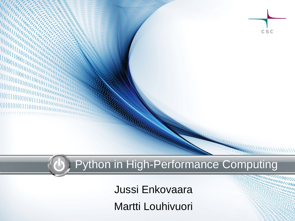Python in High-Performance Computing

CSC

Jussi Enkovaara Martti Louhivuori

 $l_0^{ij}l_0^{ij}$  $\frac{10^{10}_{l_0}}{0^{10}_{l_1}}$ 

 $\begin{array}{l} \begin{array}{l} \begin{array}{l} \mathbf{0} & \mathbf{1} & \mathbf{0} & \mathbf{0} & \mathbf{1} & \mathbf{0} & \mathbf{0} & \mathbf{0} & \mathbf{0} & \mathbf{0} & \mathbf{0} & \mathbf{0} & \mathbf{0} & \mathbf{0} & \mathbf{0} & \mathbf{0} & \mathbf{0} & \mathbf{0} & \mathbf{0} & \mathbf{0} & \mathbf{0} & \mathbf{0} & \mathbf{0} & \mathbf{0} & \mathbf{0} & \mathbf{0} & \mathbf{0} & \mathbf{0} & \mathbf$  $\frac{10}{10}$ <br>  $\frac{10}{10}$ <br>  $\frac{10}{10}$ <br>  $\frac{11}{10}$ <br>  $\frac{10}{10}$ <br>  $\frac{11}{10}$ <br>  $\frac{10}{10}$ <br>  $\frac{10}{10}$ <br>  $\frac{10}{10}$ <br>  $\frac{10}{10}$ <br>  $\frac{10}{10}$ <br>  $\frac{10}{10}$ <br>  $\frac{10}{10}$ <br>  $\frac{10}{10}$ <br>  $\frac{10}{10}$ <br>  $\frac{10}{10}$ <br>  $\frac{10}{10}$ <br>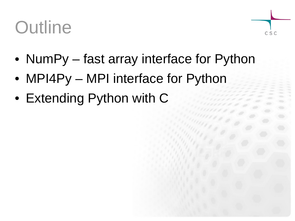#### **Outline**



- NumPy fast array interface for Python
- MPI4Py MPI interface for Python
- Extending Python with C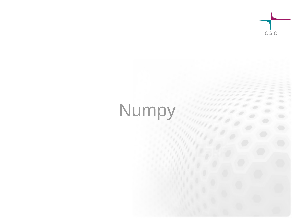

## Numpy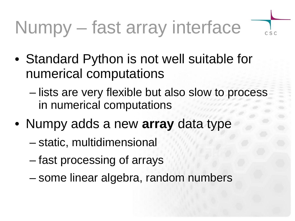# Numpy – fast array interface

- 
- Standard Python is not well suitable for numerical computations
	- lists are very flexible but also slow to process in numerical computations
- Numpy adds a new **array** data type
	- static, multidimensional
	- fast processing of arrays
	- some linear algebra, random numbers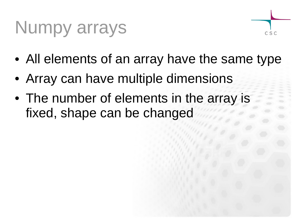#### Numpy arrays



- All elements of an array have the same type
- Array can have multiple dimensions
- The number of elements in the array is fixed, shape can be changed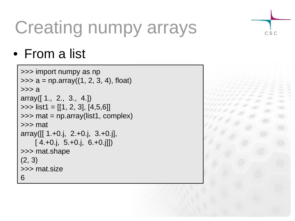### Creating numpy arrays

• From a list

```
>>> import numpy as np
\Rightarrow > a = np. array((1, 2, 3, 4), float)
>>> a
array([ 1., 2., 3., 4.])
>>> list1 = [[1, 2, 3], [4,5,6]]
>>> mat = np.array(list1, complex)
>>> mat
array([[ 1.+0.j, 2.+0.j, 3.+0.j],[4.+0.j, 5.+0.j, 6.+0.j]]>>> mat.shape
(2, 3)
>>> mat.size
6
```


CSC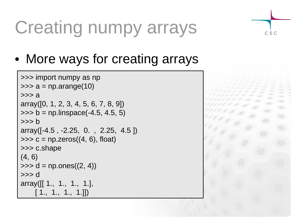#### Creating numpy arrays

CSC

• More ways for creating arrays

```
>>> import numpy as np
\gg a = np.arange(10)
>>> a
array([0, 1, 2, 3, 4, 5, 6, 7, 8, 9])
\gg b = np.linspace(-4.5, 4.5, 5)
>> h
array([-4.5 , -2.25, 0. , 2.25, 4.5 ])
\Rightarrow > \ge = np.zeros((4, 6), float)
>>> c.shape
(4, 6)
\Rightarrow d = np.ones((2, 4))
>>> d
array([[ 1., 1., 1., 1.],
     [1., 1., 1., 1.]]
```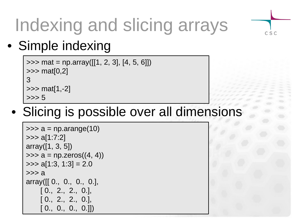

# Indexing and slicing arrays

#### • Simple indexing

```
\Rightarrow mat = np.array([[1, 2, 3], [4, 5, 6]])
>>> mat[0,2]
3
\gg mat[1,-2]
>>> 5
```
#### • Slicing is possible over all dimensions

```
\gg a = np.arange(10)
>>> a[1:7:2]
array([1, 3, 5])
\gg a = np.zeros((4, 4))
\gg a[1:3, 1:3] = 2.0
>> a
array([[0., 0., 0., 0.], [ 0., 2., 2., 0.],
     [ 0., 2., 2., 0.],
    [0., 0., 0., 0.]])
```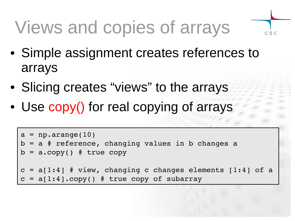# Views and copies of arrays

• Simple assignment creates references to arrays

 $C S C$ 

- Slicing creates "views" to the arrays
- Use copy() for real copying of arrays

```
a = np.arange(10)b = a # reference, changing values in b changes a
b = a \cdot copy() # true copy
c = a[1:4] # view, changing c changes elements [1:4] of a
c = a[1:4] . copy() # true copy of subarray
```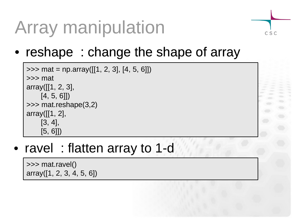# Array manipulation

• reshape: change the shape of array

```
\Rightarrow mat = np.array([[1, 2, 3], [4, 5, 6]])
>>> mat
array([[1, 2, 3],
      [4, 5, 6]])
>>> mat.reshape(3,2)
array([[1, 2],
      [3, 4],
      [5, 6]])
```
• ravel : flatten array to 1-d

>>> mat.ravel() array([1, 2, 3, 4, 5, 6]) CSC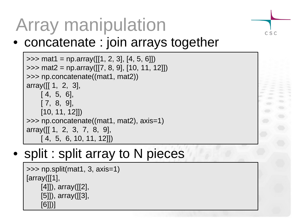# Array manipulation

#### • concatenate : join arrays together

CSC

```
\Rightarrow mat1 = np.array([[1, 2, 3], [4, 5, 6]])
>>> mat2 = np.array([[7, 8, 9], [10, 11, 12]])
>>> np.concatenate((mat1, mat2))
array([[ 1, 2, 3],
    [4, 5, 6],
     [ 7, 8, 9],
     [10, 11, 12]])
>>> np.concatenate((mat1, mat2), axis=1)
array([[ 1, 2, 3, 7, 8, 9],
     [ 4, 5, 6, 10, 11, 12]])
```
#### • split : split array to N pieces

```
>>> np.split(mat1, 3, axis=1)
[array([[1],
     [4]]), array([2],
      [5]]), array([[3],
      [6]])]
```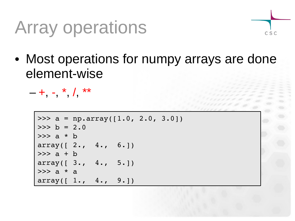#### Array operations



• Most operations for numpy arrays are done element-wise

 $-$  +, -, \*, /, \*\*

```
>>> a = np.array([1.0, 2.0, 3.0])
>> b = 2.0
>>> a * b
array([ 2., 4., 6.]\gg a + b
array([ 3., 4., 5.]>> a * a
array([ 1., 4., 9.]
```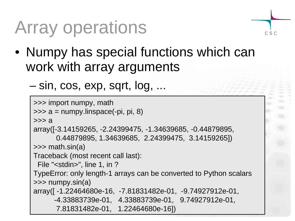## Array operations

- $C S C$
- Numpy has special functions which can work with array arguments
	- sin, cos, exp, sqrt, log, ...

```
>>> import numpy, math
\gg a = numpy.linspace(-pi, pi, 8)
>>> a
array([-3.14159265, -2.24399475, -1.34639685, -0.44879895,
       0.44879895, 1.34639685, 2.24399475, 3.14159265])
\gg math.sin(a)
Traceback (most recent call last):
 File "<stdin>", line 1, in ?
TypeError: only length-1 arrays can be converted to Python scalars
>>> numpy.sin(a)
array([ -1.22464680e-16, -7.81831482e-01, -9.74927912e-01,
       -4.33883739e-01, 4.33883739e-01, 9.74927912e-01,
       7.81831482e-01, 1.22464680e-16])
```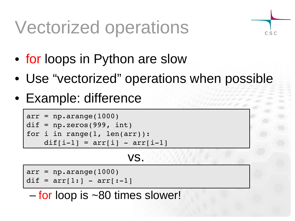#### Vectorized operations

- for loops in Python are slow
- Use "vectorized" operations when possible

 $C S C$ 

• Example: difference

```
arr = np.arange(1000)dif = np{\text{.}zeros(999, int)}for i in range(1, len(arr)):
    dif[i-1] = arr[i] - arr[i-1]
```
#### vs.

```
arr = np.arange(1000)
```

```
dif = arr[1:] - arr[-1]
```
– for loop is ~80 times slower!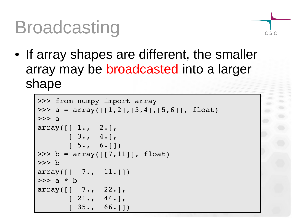#### Broadcasting



• If array shapes are different, the smaller array may be broadcasted into a larger shape

```
>>> from numpy import array 
>>> a = array([[1,2],[3,4],[5,6]], float)
\gg a
array([ 1., 2.][3., 4.][ 5., 6.]>>> b = array([7, 11]], false float)
>>> b
array([ 7.7.1.1] )>>> a * b
array([ 7.7 22.]\begin{bmatrix} 21 \\ 44 \end{bmatrix}[ 35., 66.]]
```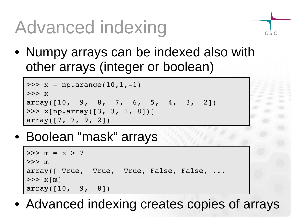# Advanced indexing

• Numpy arrays can be indexed also with other arrays (integer or boolean)

 $C S C$ 

```
>>> x = np.arange(10, 1, -1)>>> x
array([10, 9, 8, 7, 6, 5, 4, 3, 2])>>> x[np.array([3, 3, 1, 8])]
array([7, 7, 9, 2])
```
• Boolean "mask" arrays

```
>> m = x > 7
>>> m
array([ True, True, True, False, False, ...
>>> x[m]
array([10, 9, 8])
```
• Advanced indexing creates copies of arrays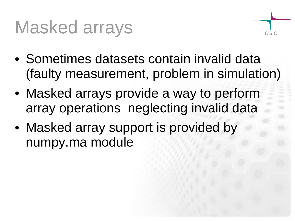#### Masked arrays



- Sometimes datasets contain invalid data (faulty measurement, problem in simulation)
- Masked arrays provide a way to perform array operations neglecting invalid data
- Masked array support is provided by numpy.ma module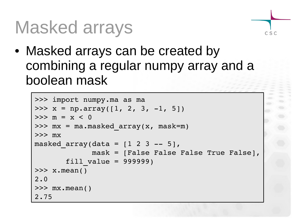#### Masked arrays

• Masked arrays can be created by combining a regular numpy array and a boolean mask

CSC

```
>>> import numpy.ma as ma
\gg x = np.array([1, 2, 3, -1, 5])
>> m = x < 0
>>> mx = ma.masked array(x, mask=m)>>> mx
masked array(data = [1 2 3 -- 5],             mask = [False False False True False],
       fill value = 999999)\gg x.mean()
2.0
\gg mx.mean()
2.75
```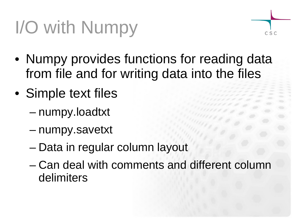# I/O with Numpy

- $C S C$
- Numpy provides functions for reading data from file and for writing data into the files
- Simple text files
	- numpy.loadtxt
	- numpy.savetxt
	- Data in regular column layout
	- Can deal with comments and different column delimiters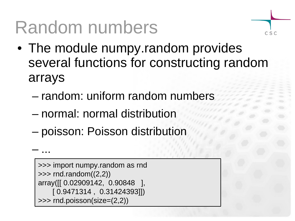#### Random numbers

• The module numpy.random provides several functions for constructing random arrays

 $C S C$ 

- random: uniform random numbers
- normal: normal distribution
- poisson: Poisson distribution

```
>>> import numpy.random as rnd
\gg rnd.random((2,2))array([[ 0.02909142, 0.90848 ],
     [ 0.9471314 , 0.31424393]])
>>> rnd.poisson(size=(2,2))
```
– ...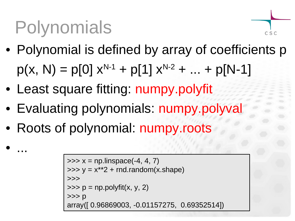# Polynomials

• ...

- Polynomial is defined by array of coefficients p  $p(x, N) = p[0] x^{N-1} + p[1] x^{N-2} + ... + p[N-1]$
- Least square fitting: numpy.polyfit
- Evaluating polynomials: numpy.polyval
- Roots of polynomial: numpy.roots

```
\gg \times = np.linspace(-4, 4, 7)
\Rightarrow y = x**2 + rnd.random(x.shape)
>>>
\Rightarrow \Rightarrow p = np.polyfit(x, y, 2)>>> p
array([ 0.96869003, -0.01157275, 0.69352514])
```
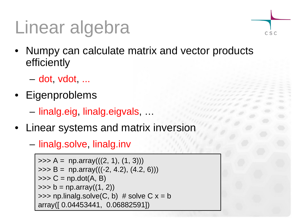# Linear algebra

- Numpy can calculate matrix and vector products efficiently
	- dot, vdot, ...
- Eigenproblems

– linalg.eig, linalg.eigvals, …

- Linear systems and matrix inversion
	- linalg.solve, linalg.inv

```
\Rightarrow A = np.array(((2, 1), (1, 3)))
\Rightarrow B = np.array(((-2, 4.2), (4.2, 6)))
\gg > \subset = np.dot(A, B)
\gg b = np.array((1, 2))
\Rightarrow >>> np.linalg.solve(C, b) # solve C x = barray([ 0.04453441, 0.06882591])
```
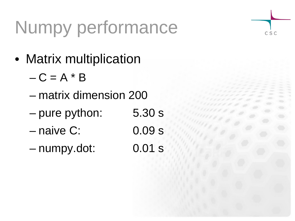# Numpy performance

CSC

- Matrix multiplication
	- $-C = A * B$
	- matrix dimension 200
	- pure python: 5.30 s
	- naive C: 0.09 s
	- numpy.dot: 0.01 s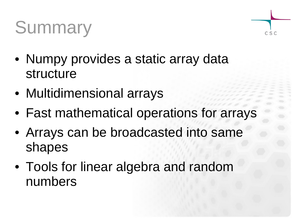## **Summary**



- Numpy provides a static array data structure
- Multidimensional arrays
- Fast mathematical operations for arrays
- Arrays can be broadcasted into same shapes
- Tools for linear algebra and random numbers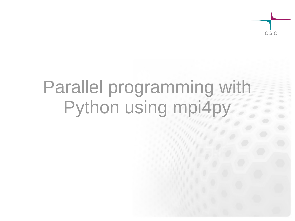#### Parallel programming with Python using mpi4py

 $C S C$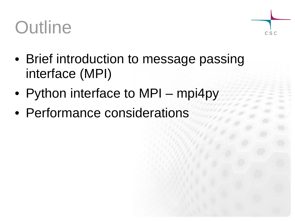#### **Outline**



- Brief introduction to message passing interface (MPI)
- Python interface to MPI mpi4py
- Performance considerations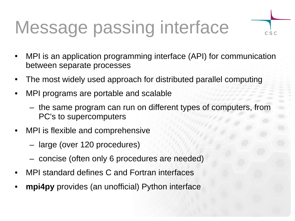### Message passing interface

• MPI is an application programming interface (API) for communication between separate processes

 $C S C$ 

- The most widely used approach for distributed parallel computing
- MPI programs are portable and scalable
	- the same program can run on different types of computers, from PC's to supercomputers
- MPI is flexible and comprehensive
	- large (over 120 procedures)
	- concise (often only 6 procedures are needed)
- MPI standard defines C and Fortran interfaces
- **mpi4py** provides (an unofficial) Python interface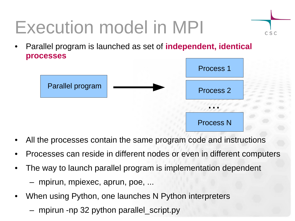# Execution model in MPI

• Parallel program is launched as set of **independent, identical processes**



CSC

- All the processes contain the same program code and instructions
- Processes can reside in different nodes or even in different computers
- The way to launch parallel program is implementation dependent – mpirun, mpiexec, aprun, poe, ...
- When using Python, one launches N Python interpreters
	- mpirun -np 32 python parallel script.py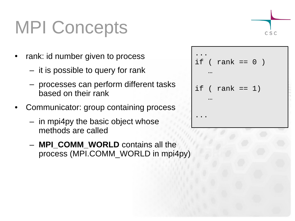### MPI Concepts

- rank: id number given to process
	- it is possible to query for rank
	- processes can perform different tasks based on their rank
- Communicator: group containing process
	- in mpi4py the basic object whose methods are called
	- **MPI\_COMM\_WORLD** contains all the process (MPI.COMM\_WORLD in mpi4py)

```
...
if ( rank == 0 )
 …
if ( rank == 1)
 …
...
```

$$
\overline{\bigg\vert_{csc}}
$$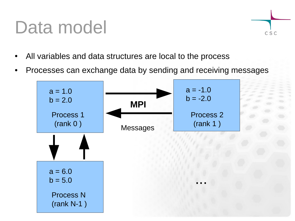#### Data model



- All variables and data structures are local to the process
- Processes can exchange data by sending and receiving messages

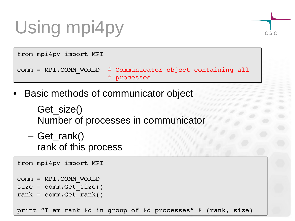# Using mpi4py



from mpi4py import MPI comm = MPI.COMM\_WORLD # Communicator object containing all # processes

- Basic methods of communicator object
	- Get\_size() Number of processes in communicator
	- Get\_rank() rank of this process

```
from mpi4py import MPI
comm = MPI.COMM_WORLD
size = comm.get size()rank = comm.get rank()print "I am rank %d in group of %d processes" % (rank, size)
```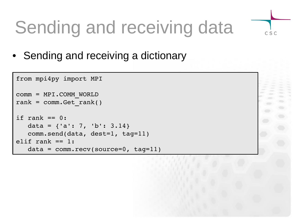# Sending and receiving data

 $C S C$ 

• Sending and receiving a dictionary

```
from mpi4py import MPI
comm = MPI.COMM_WORLD
rank = comm.get rank()if rank == 0:
   data = \{ 'a': 7, 'b': 3.14 \}   comm.send(data, dest=1, tag=11)
elif rank == 1:
   data = comm.recv(source=0, tag=11)
```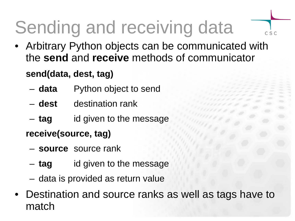# Sending and receiving data

• Arbitrary Python objects can be communicated with the **send** and **receive** methods of communicator

 $C S C$ 

#### **send(data, dest, tag)**

- **data** Python object to send
- **dest** destination rank
- **tag** id given to the message

#### **receive(source, tag)**

- **source** source rank
- **tag** id given to the message
- data is provided as return value
- Destination and source ranks as well as tags have to match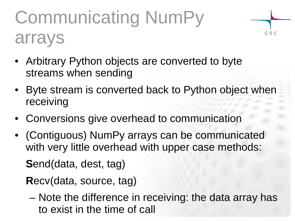# Communicating NumPy arrays

 $C S C$ 

- Arbitrary Python objects are converted to byte streams when sending
- Byte stream is converted back to Python object when receiving
- Conversions give overhead to communication
- (Contiguous) NumPy arrays can be communicated with very little overhead with upper case methods:

**S**end(data, dest, tag)

**R**ecv(data, source, tag)

– Note the difference in receiving: the data array has to exist in the time of call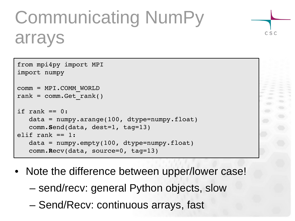## Communicating NumPy arrays

 $C S C$ 

```
from mpi4py import MPI
import numpy
comm = MPI.COMM_WORLD
rank = comm.get rank()if rank == 0:
   data = numpy.arange(100, dtype=number.float)   comm.Send(data, dest=1, tag=13)
elif rank == 1:data = numpy .empty(100, dtype = numpy .float)   comm.Recv(data, source=0, tag=13)
```
- Note the difference between upper/lower case!
	- send/recv: general Python objects, slow
	- Send/Recv: continuous arrays, fast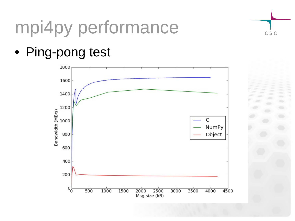# mpi4py performance

• Ping-pong test



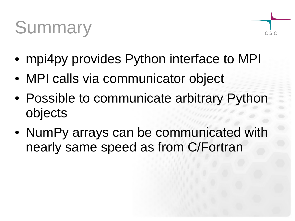## **Summary**



- mpi4py provides Python interface to MPI
- MPI calls via communicator object
- Possible to communicate arbitrary Python objects
- NumPy arrays can be communicated with nearly same speed as from C/Fortran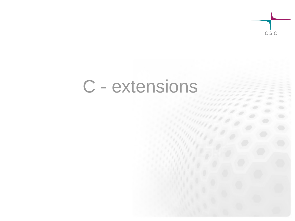

#### C - extensions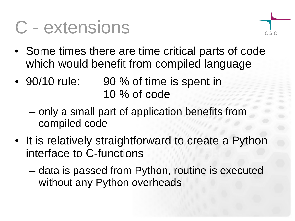#### C - extensions



- Some times there are time critical parts of code which would benefit from compiled language
- 90/10 rule: 90 % of time is spent in 10 % of code
	- only a small part of application benefits from compiled code
- It is relatively straightforward to create a Python interface to C-functions
	- data is passed from Python, routine is executed without any Python overheads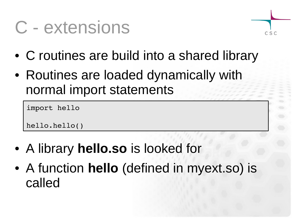#### C - extensions



- C routines are build into a shared library
- Routines are loaded dynamically with normal import statements

```
import hello
```

```
hello.hello()
```
- A library **hello.so** is looked for
- A function **hello** (defined in myext.so) is called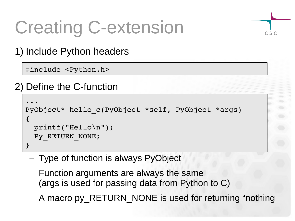#### Creating C-extension



#### 1) Include Python headers

#include <Python.h>

2) Define the C-function

```
...
PyObject* hello_c(PyObject *self, PyObject *args)
{
    printf("Hello\n");
  Py RETURN NONE;
}
```
- Type of function is always PyObject
- Function arguments are always the same (args is used for passing data from Python to C)
- A macro py\_RETURN\_NONE is used for returning "nothing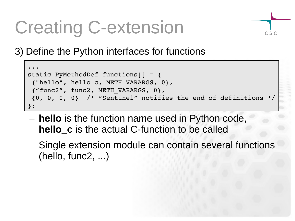#### Creating C-extension

3) Define the Python interfaces for functions

```
...
static PyMethodDef functions[] = {
 {"hello", hello_c, METH_VARARGS, 0},
 {"func2", func2, METH_VARARGS, 0},
 \{0, 0, 0, 0\} /* "Sentinel" notifies the end of definitions */
};
```
 $C S C$ 

- **hello** is the function name used in Python code, **hello c** is the actual C-function to be called
- Single extension module can contain several functions (hello, func2, ...)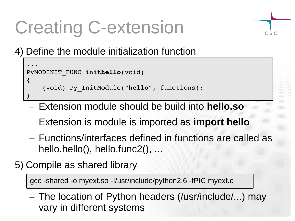### Creating C-extension

 $C S C$ 

4) Define the module initialization function

```
...
PyMODINIT_FUNC inithello(void)
{
        (void) Py_InitModule("hello", functions);
}
```
- Extension module should be build into **hello.so**
- Extension is module is imported as **import hello**
- Functions/interfaces defined in functions are called as hello.hello(), hello.func2(), ...
- 5) Compile as shared library

gcc -shared -o myext.so -I/usr/include/python2.6 -fPIC myext.c

– The location of Python headers (/usr/include/...) may vary in different systems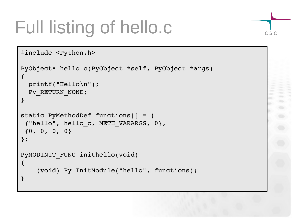# Full listing of hello.c

```
#include <Python.h>
PyObject* hello_c(PyObject *self, PyObject *args)
\{  printf("Hello\n");
 Py RETURN NONE;
}
static PyMethodDef functions[] = {
 {"hello", hello_c, METH_VARARGS, 0},
 {0, 0, 0, 0}
};
PyMODINIT FUNC inithello(void)
\{    (void) Py_InitModule("hello", functions);
}
```
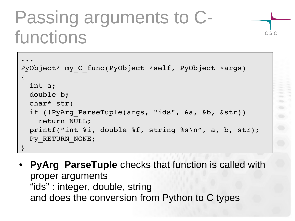#### Passing arguments to Cfunctions

```
...
PyObject* my_C_func(PyObject *self, PyObject *args)
\{  int a;
    double b;
    char* str;
    if (!PyArg_ParseTuple(args, "ids", &a, &b, &str))
        return NULL;
    printf("int %i, double %f, string %s\n", a, b, str);
  Py RETURN NONE;
}
```
CSC

• **PyArg\_ParseTuple** checks that function is called with proper arguments "ids" : integer, double, string and does the conversion from Python to C types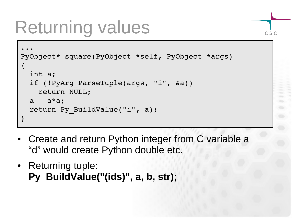#### Returning values

```
...
PyObject* square(PyObject *self, PyObject *args)
\left\{ \right.  int a;
  if (!PyArg ParseTuple(args, "i", &a))
        return NULL;
  a = a * a;  return Py_BuildValue("i", a);
}
```
CSC

- Create and return Python integer from C variable a "d" would create Python double etc.
- Returning tuple: **Py\_BuildValue("(ids)", a, b, str);**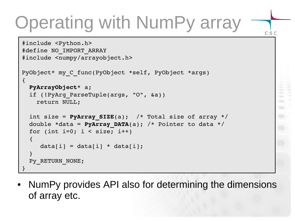# Operating with NumPy array

CSC

```
#include <Python.h>
#define NO_IMPORT_ARRAY
#include <numpy/arrayobject.h>
PyObject* my C func(PyObject *self, PyObject *args)
{
    PyArrayObject* a;
  if (!PyArg ParseTuple(args, "O", &a))
        return NULL;
  int size = PyArray SIZE(a); /* Total size of array */
  double *data = PyArray DATA(a); /* Pointer to data */
  for (int i=0; i < size; i++)
\overline{\mathcal{A}}data[i] = data[i] * data[i];  }
  Py_RETURN_NONE;
}
```
• NumPy provides API also for determining the dimensions of array etc.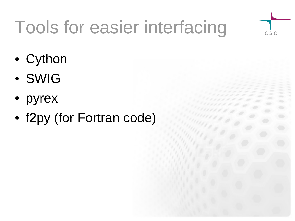# Tools for easier interfacing

CSC

- Cython
- SWIG
- pyrex
- f2py (for Fortran code)